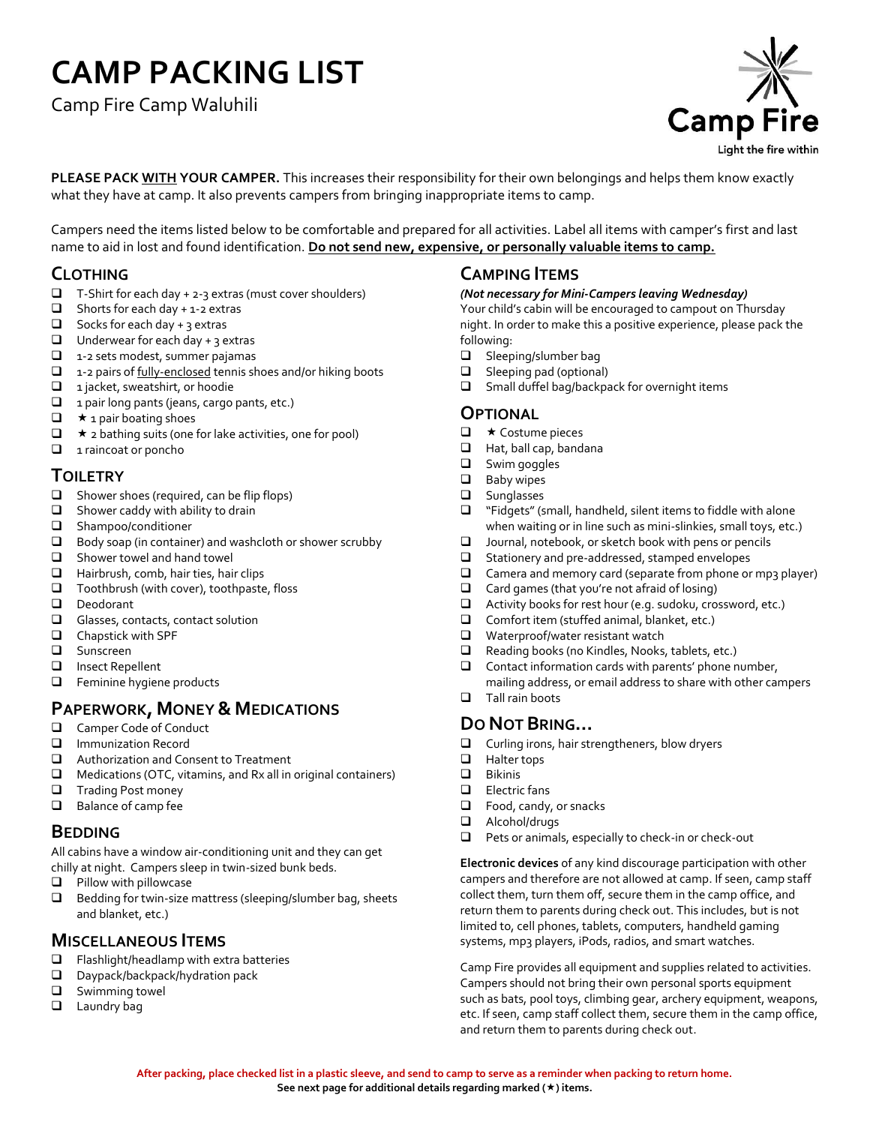# **CAMP PACKING LIST**

Camp Fire Camp Waluhili



**PLEASE PACK WITH YOUR CAMPER.** This increases their responsibility for their own belongings and helps them know exactly what they have at camp. It also prevents campers from bringing inappropriate items to camp.

Campers need the items listed below to be comfortable and prepared for all activities. Label all items with camper's first and last name to aid in lost and found identification. **Do not send new, expensive, or personally valuable items to camp.**

# **CLOTHING**

- $\Box$  T-Shirt for each day + 2-3 extras (must cover shoulders)
- $\Box$  Shorts for each day + 1-2 extras
- $\Box$  Socks for each day + 3 extras
- $\Box$  Underwear for each day + 3 extras
- $\Box$  1-2 sets modest, summer pajamas
- $\Box$  1-2 pairs of fully-enclosed tennis shoes and/or hiking boots
- $\Box$  1 jacket, sweatshirt, or hoodie
- $\Box$  1 pair long pants (jeans, cargo pants, etc.)
- $\Box$   $\star$  1 pair boating shoes
- $\Box$   $\star$  2 bathing suits (one for lake activities, one for pool)
- 1 raincoat or poncho

# **TOILETRY**

- $\Box$  Shower shoes (required, can be flip flops)
- $\Box$  Shower caddy with ability to drain
- Shampoo/conditioner
- Body soap (in container) and washcloth or shower scrubby
- Shower towel and hand towel
- Hairbrush, comb, hair ties, hair clips
- $\Box$  Toothbrush (with cover), toothpaste, floss
- Deodorant
- Glasses, contacts, contact solution
- Chapstick with SPF
- **Q** Sunscreen
- Insect Repellent
- **E** Feminine hygiene products

# **PAPERWORK, MONEY & MEDICATIONS**

- $\Box$  Camper Code of Conduct<br> $\Box$  Immunization Record
- $\Box$  Immunization Record<br> $\Box$  Authorization and Co
- $\square$  Authorization and Consent to Treatment<br> $\square$  Medications (OTC, vitamins, and Rx all in
- Medications (OTC, vitamins, and Rx all in original containers)
- **T** Trading Post money
- $\Box$  Balance of camp fee

#### **BEDDING**

All cabins have a window air-conditioning unit and they can get chilly at night. Campers sleep in twin-sized bunk beds.

- $\Box$  Pillow with pillowcase
- $\Box$  Bedding for twin-size mattress (sleeping/slumber bag, sheets and blanket, etc.)

#### **MISCELLANEOUS ITEMS**

- $\Box$  Flashlight/headlamp with extra batteries
- D Daypack/backpack/hydration pack
- **Q** Swimming towel
- **Laundry bag**

#### **CAMPING ITEMS**

#### *(Not necessary for Mini-Campers leaving Wednesday)*

Your child's cabin will be encouraged to campout on Thursday night. In order to make this a positive experience, please pack the following:

- □ Sleeping/slumber bag
- □ Sleeping pad (optional)
- $\Box$  Small duffel bag/backpack for overnight items

#### **OPTIONAL**

- $\Box$   $\star$  Costume pieces
- Hat, ball cap, bandana
- Swim goggles
- **Baby wipes**
- **Q** Sunglasses
- $\Box$  "Fidgets" (small, handheld, silent items to fiddle with alone when waiting or in line such as mini-slinkies, small toys, etc.)
- $\Box$  Journal, notebook, or sketch book with pens or pencils
- $\Box$  Stationery and pre-addressed, stamped envelopes
- $\Box$  Camera and memory card (separate from phone or mp3 player)
- $\Box$  Card games (that you're not afraid of losing)
- $\Box$  Activity books for rest hour (e.g. sudoku, crossword, etc.)
- $\square$  Comfort item (stuffed animal, blanket, etc.)<br>  $\square$  Waterproof/water resistant watch
- Waterproof/water resistant watch
- $\Box$  Reading books (no Kindles, Nooks, tablets, etc.)
- $\Box$  Contact information cards with parents' phone number,
- mailing address, or email address to share with other campers **Tall rain boots**

#### **DO NOT BRING…**

- $\square$  Curling irons, hair strengtheners, blow dryers<br> $\square$  Halter toos
- $\Box$  Halter tops<br> $\Box$  Bikinis
- Bikinis
- Electric fans
- $\Box$  Food, candy, or snacks
- Alcohol/drugs
- $\Box$  Pets or animals, especially to check-in or check-out

**Electronic devices** of any kind discourage participation with other campers and therefore are not allowed at camp. If seen, camp staff collect them, turn them off, secure them in the camp office, and return them to parents during check out. This includes, but is not limited to, cell phones, tablets, computers, handheld gaming systems, mp3 players, iPods, radios, and smart watches.

Camp Fire provides all equipment and supplies related to activities. Campers should not bring their own personal sports equipment such as bats, pool toys, climbing gear, archery equipment, weapons, etc. If seen, camp staff collect them, secure them in the camp office, and return them to parents during check out.